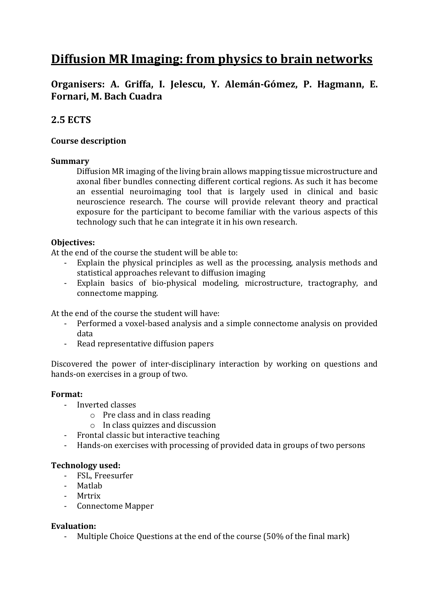# **Diffusion MR Imaging: from physics to brain networks**

# **Organisers: A. Griffa, I. Jelescu, Y. Alemán-Gómez, P. Hagmann, E. Fornari, M. Bach Cuadra**

# **2.5 ECTS**

# **Course description**

## **Summary**

Diffusion MR imaging of the living brain allows mapping tissue microstructure and axonal fiber bundles connecting different cortical regions. As such it has become an essential neuroimaging tool that is largely used in clinical and basic neuroscience research. The course will provide relevant theory and practical exposure for the participant to become familiar with the various aspects of this technology such that he can integrate it in his own research.

## **Objectives:**

At the end of the course the student will be able to:

- Explain the physical principles as well as the processing, analysis methods and statistical approaches relevant to diffusion imaging
- Explain basics of bio-physical modeling, microstructure, tractography, and connectome mapping.

At the end of the course the student will have:

- Performed a voxel-based analysis and a simple connectome analysis on provided data
- Read representative diffusion papers

Discovered the power of inter-disciplinary interaction by working on questions and hands-on exercises in a group of two.

#### **Format:**

- Inverted classes
	- o Pre class and in class reading
	- o In class quizzes and discussion
- Frontal classic but interactive teaching
- Hands-on exercises with processing of provided data in groups of two persons

#### **Technology used:**

- FSL, Freesurfer
- Matlab
- Mrtrix
- Connectome Mapper

#### **Evaluation:**

- Multiple Choice Questions at the end of the course (50% of the final mark)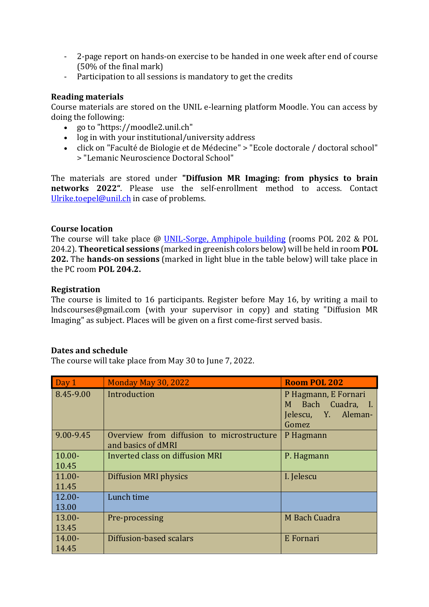- 2-page report on hands-on exercise to be handed in one week after end of course (50% of the final mark)
- Participation to all sessions is mandatory to get the credits

## **Reading materials**

Course materials are stored on the UNIL e-learning platform Moodle. You can access by doing the following:

- go to "https://moodle2.unil.ch"
- log in with your institutional/university address
- click on "Faculté de Biologie et de Médecine" > "Ecole doctorale / doctoral school" > "Lemanic Neuroscience Doctoral School"

The materials are stored under **"Diffusion MR Imaging: from physics to brain networks 2022"**. Please use the self-enrollment method to access. Contact [Ulrike.toepel@unil.ch](mailto:Ulrike.toepel@unil.ch) in case of problems.

#### **Course location**

The course will take place @ [UNIL-Sorge, Amphipole building](https://planete.unil.ch/) (rooms POL 202 & POL 204.2). **Theoretical sessions** (marked in greenish colors below) will be held in room **POL 202.** The **hands-on sessions** (marked in light blue in the table below) will take place in the PC room **POL 204.2.** 

#### **Registration**

The course is limited to 16 participants. Register before May 16, by writing a mail to lndscourses@gmail.com (with your supervisor in copy) and stating "Diffusion MR Imaging" as subject. Places will be given on a first come-first served basis.

#### **Dates and schedule**

The course will take place from May 30 to June 7, 2022.

| Day 1     | <b>Monday May 30, 2022</b>                | <b>Room POL 202</b>                       |
|-----------|-------------------------------------------|-------------------------------------------|
| 8.45-9.00 | Introduction                              | P Hagmann, E Fornari<br>M Bach Cuadra, I. |
|           |                                           | Jelescu, Y. Aleman-                       |
|           |                                           | Gomez                                     |
| 9.00-9.45 | Overview from diffusion to microstructure | P Hagmann                                 |
|           | and basics of dMRI                        |                                           |
| $10.00 -$ | Inverted class on diffusion MRI           | P. Hagmann                                |
| 10.45     |                                           |                                           |
| $11.00 -$ | <b>Diffusion MRI physics</b>              | I. Jelescu                                |
| 11.45     |                                           |                                           |
| $12.00 -$ | Lunch time                                |                                           |
| 13.00     |                                           |                                           |
| $13.00 -$ | Pre-processing                            | M Bach Cuadra                             |
| 13.45     |                                           |                                           |
| $14.00 -$ | Diffusion-based scalars                   | E Fornari                                 |
| 14.45     |                                           |                                           |